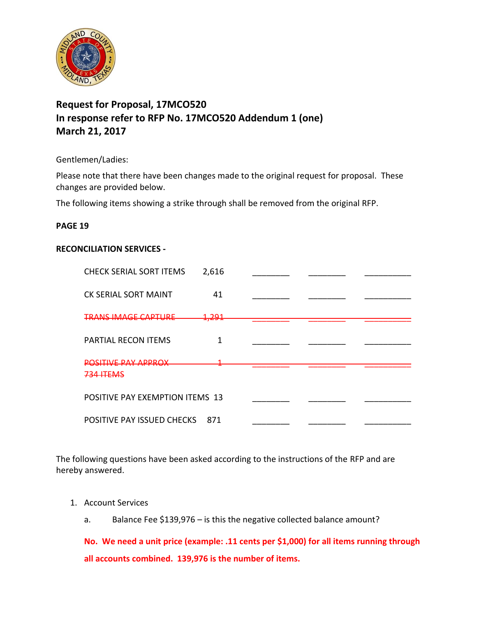

# **Request for Proposal, 17MCO520 In response refer to RFP No. 17MCO520 Addendum 1 (one) March 21, 2017**

Gentlemen/Ladies:

Please note that there have been changes made to the original request for proposal. These changes are provided below.

The following items showing a strike through shall be removed from the original RFP.

#### **PAGE 19**

#### **RECONCILIATION SERVICES -**

| <b>CHECK SERIAL SORT ITEMS</b>  | 2,616 |  |  |
|---------------------------------|-------|--|--|
| <b>CK SERIAL SORT MAINT</b>     | 41    |  |  |
| TRANS IMAGE CADTLIRE            | 1.201 |  |  |
| PARTIAL RECON ITEMS             | 1     |  |  |
| ΙΕ DΛV ΛDDDΛV                   | --    |  |  |
| POSITIVE PAY EXEMPTION ITEMS 13 |       |  |  |
| POSITIVE PAY ISSUED CHECKS      | 871   |  |  |

The following questions have been asked according to the instructions of the RFP and are hereby answered.

- 1. Account Services
	- a. Balance Fee \$139,976 is this the negative collected balance amount?

**No. We need a unit price (example: .11 cents per \$1,000) for all items running through all accounts combined. 139,976 is the number of items.**